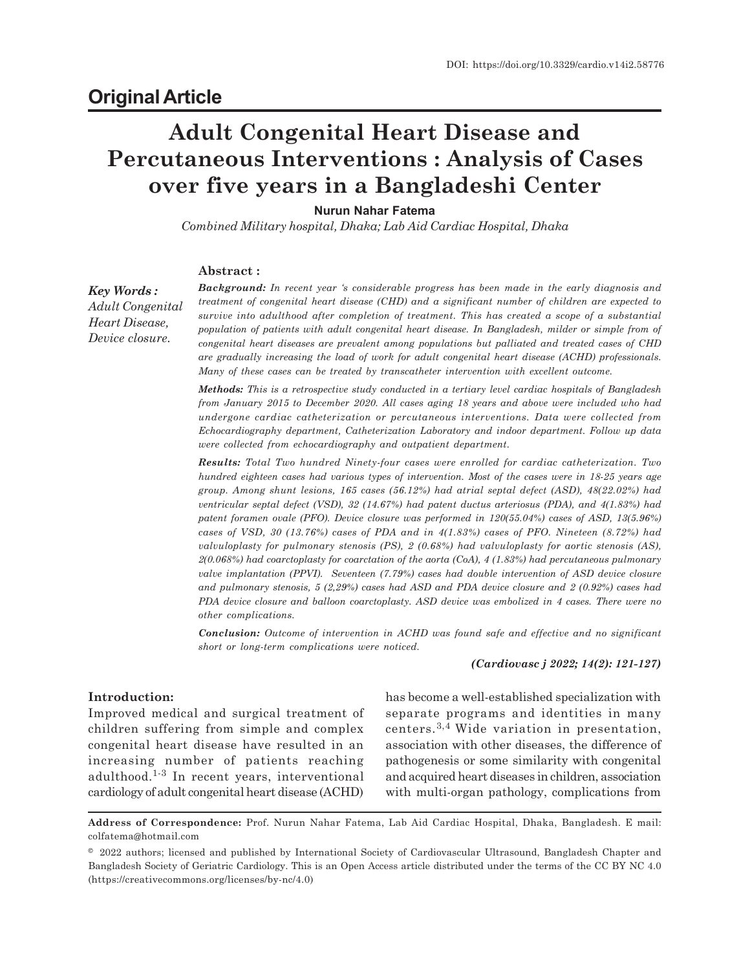# **Adult Congenital Heart Disease and Percutaneous Interventions : Analysis of Cases over five years in a Bangladeshi Center**

# **Nurun Nahar Fatema**

*Combined Military hospital, Dhaka; Lab Aid Cardiac Hospital, Dhaka*

#### **Abstract :**

*Key Words : Adult Congenital Heart Disease, Device closure.*

*Background: In recent year 's considerable progress has been made in the early diagnosis and treatment of congenital heart disease (CHD) and a significant number of children are expected to survive into adulthood after completion of treatment. This has created a scope of a substantial population of patients with adult congenital heart disease. In Bangladesh, milder or simple from of congenital heart diseases are prevalent among populations but palliated and treated cases of CHD are gradually increasing the load of work for adult congenital heart disease (ACHD) professionals. Many of these cases can be treated by transcatheter intervention with excellent outcome.*

*Methods: This is a retrospective study conducted in a tertiary level cardiac hospitals of Bangladesh from January 2015 to December 2020. All cases aging 18 years and above were included who had undergone cardiac catheterization or percutaneous interventions. Data were collected from Echocardiography department, Catheterization Laboratory and indoor department. Follow up data were collected from echocardiography and outpatient department.*

*Results: Total Two hundred Ninety-four cases were enrolled for cardiac catheterization. Two hundred eighteen cases had various types of intervention. Most of the cases were in 18-25 years age group. Among shunt lesions, 165 cases (56.12%) had atrial septal defect (ASD), 48(22.02%) had ventricular septal defect (VSD), 32 (14.67%) had patent ductus arteriosus (PDA), and 4(1.83%) had patent foramen ovale (PFO). Device closure was performed in 120(55.04%) cases of ASD, 13(5.96%) cases of VSD, 30 (13.76%) cases of PDA and in 4(1.83%) cases of PFO. Nineteen (8.72%) had valvuloplasty for pulmonary stenosis (PS), 2 (0.68%) had valvuloplasty for aortic stenosis (AS), 2(0.068%) had coarctoplasty for coarctation of the aorta (CoA), 4 (1.83%) had percutaneous pulmonary valve implantation (PPVI). Seventeen (7.79%) cases had double intervention of ASD device closure and pulmonary stenosis, 5 (2,29%) cases had ASD and PDA device closure and 2 (0.92%) cases had PDA device closure and balloon coarctoplasty. ASD device was embolized in 4 cases. There were no other complications.*

*Conclusion: Outcome of intervention in ACHD was found safe and effective and no significant short or long-term complications were noticed.*

#### *(Cardiovasc j 2022; 14(2): 121-127)*

### **Introduction:**

Improved medical and surgical treatment of children suffering from simple and complex congenital heart disease have resulted in an increasing number of patients reaching adulthood.1-3 In recent years, interventional cardiology of adult congenital heart disease (ACHD)

has become a well-established specialization with separate programs and identities in many centers.3,4 Wide variation in presentation, association with other diseases, the difference of pathogenesis or some similarity with congenital and acquired heart diseases in children, association with multi-organ pathology, complications from

**Address of Correspondence:** Prof. Nurun Nahar Fatema, Lab Aid Cardiac Hospital, Dhaka, Bangladesh. E mail: colfatema@hotmail.com

<sup>© 2022</sup> authors; licensed and published by International Society of Cardiovascular Ultrasound, Bangladesh Chapter and Bangladesh Society of Geriatric Cardiology. This is an Open Access article distributed under the terms of the CC BY NC 4.0 (https://creativecommons.org/licenses/by-nc/4.0)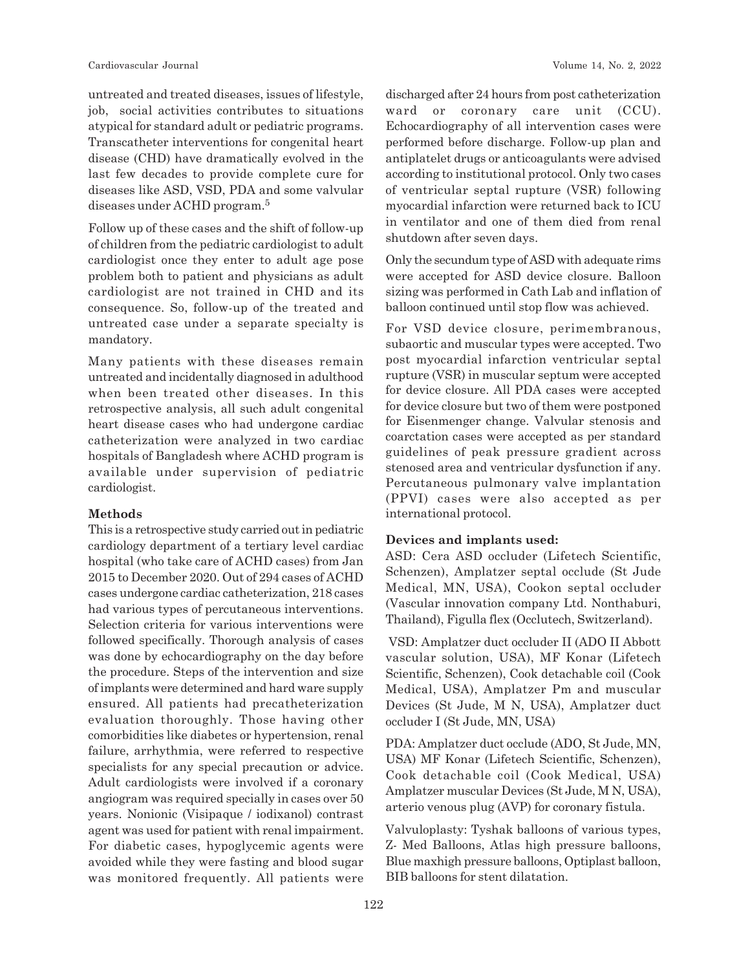untreated and treated diseases, issues of lifestyle, job, social activities contributes to situations atypical for standard adult or pediatric programs. Transcatheter interventions for congenital heart disease (CHD) have dramatically evolved in the last few decades to provide complete cure for diseases like ASD, VSD, PDA and some valvular diseases under ACHD program.<sup>5</sup>

Follow up of these cases and the shift of follow-up of children from the pediatric cardiologist to adult cardiologist once they enter to adult age pose problem both to patient and physicians as adult cardiologist are not trained in CHD and its consequence. So, follow-up of the treated and untreated case under a separate specialty is mandatory.

Many patients with these diseases remain untreated and incidentally diagnosed in adulthood when been treated other diseases. In this retrospective analysis, all such adult congenital heart disease cases who had undergone cardiac catheterization were analyzed in two cardiac hospitals of Bangladesh where ACHD program is available under supervision of pediatric cardiologist.

#### **Methods**

This is a retrospective study carried out in pediatric cardiology department of a tertiary level cardiac hospital (who take care of ACHD cases) from Jan 2015 to December 2020. Out of 294 cases of ACHD cases undergone cardiac catheterization, 218 cases had various types of percutaneous interventions. Selection criteria for various interventions were followed specifically. Thorough analysis of cases was done by echocardiography on the day before the procedure. Steps of the intervention and size of implants were determined and hard ware supply ensured. All patients had precatheterization evaluation thoroughly. Those having other comorbidities like diabetes or hypertension, renal failure, arrhythmia, were referred to respective specialists for any special precaution or advice. Adult cardiologists were involved if a coronary angiogram was required specially in cases over 50 years. Nonionic (Visipaque / iodixanol) contrast agent was used for patient with renal impairment. For diabetic cases, hypoglycemic agents were avoided while they were fasting and blood sugar was monitored frequently. All patients were discharged after 24 hours from post catheterization ward or coronary care unit (CCU). Echocardiography of all intervention cases were performed before discharge. Follow-up plan and antiplatelet drugs or anticoagulants were advised according to institutional protocol. Only two cases of ventricular septal rupture (VSR) following myocardial infarction were returned back to ICU in ventilator and one of them died from renal shutdown after seven days.

Only the secundum type of ASD with adequate rims were accepted for ASD device closure. Balloon sizing was performed in Cath Lab and inflation of balloon continued until stop flow was achieved.

For VSD device closure, perimembranous, subaortic and muscular types were accepted. Two post myocardial infarction ventricular septal rupture (VSR) in muscular septum were accepted for device closure. All PDA cases were accepted for device closure but two of them were postponed for Eisenmenger change. Valvular stenosis and coarctation cases were accepted as per standard guidelines of peak pressure gradient across stenosed area and ventricular dysfunction if any. Percutaneous pulmonary valve implantation (PPVI) cases were also accepted as per international protocol.

#### **Devices and implants used:**

ASD: Cera ASD occluder (Lifetech Scientific, Schenzen), Amplatzer septal occlude (St Jude Medical, MN, USA), Cookon septal occluder (Vascular innovation company Ltd. Nonthaburi, Thailand), Figulla flex (Occlutech, Switzerland).

 VSD: Amplatzer duct occluder II (ADO II Abbott vascular solution, USA), MF Konar (Lifetech Scientific, Schenzen), Cook detachable coil (Cook Medical, USA), Amplatzer Pm and muscular Devices (St Jude, M N, USA), Amplatzer duct occluder I (St Jude, MN, USA)

PDA: Amplatzer duct occlude (ADO, St Jude, MN, USA) MF Konar (Lifetech Scientific, Schenzen), Cook detachable coil (Cook Medical, USA) Amplatzer muscular Devices (St Jude, M N, USA), arterio venous plug (AVP) for coronary fistula.

Valvuloplasty: Tyshak balloons of various types, Z- Med Balloons, Atlas high pressure balloons, Blue maxhigh pressure balloons, Optiplast balloon, BIB balloons for stent dilatation.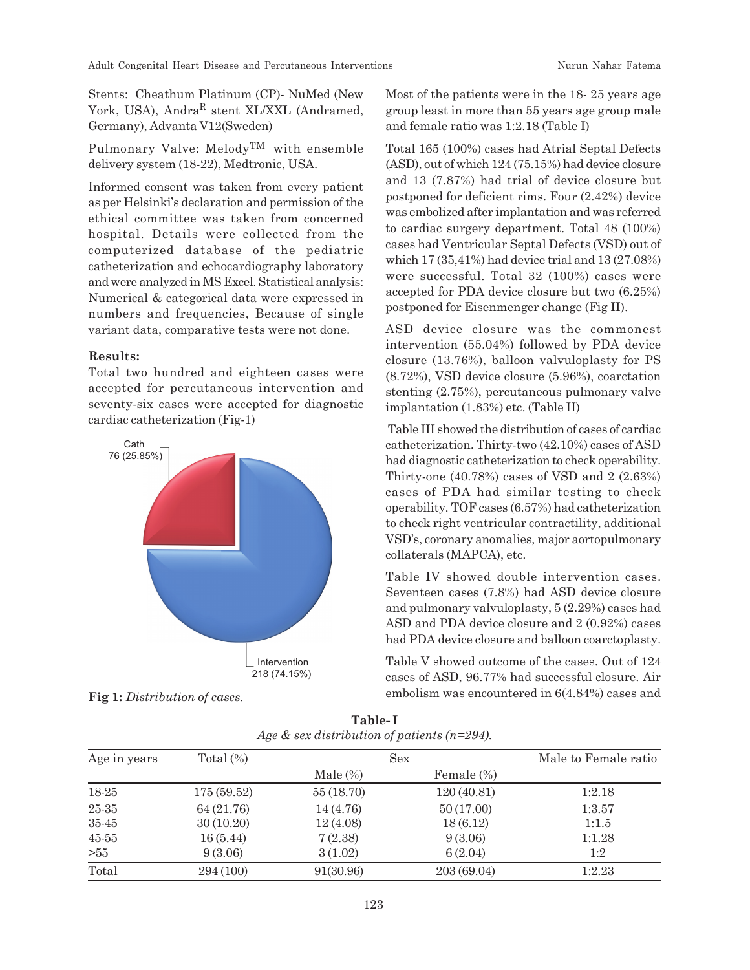Stents: Cheathum Platinum (CP)- NuMed (New York, USA), Andra<sup>R</sup> stent XL/XXL (Andramed, Germany), Advanta V12(Sweden)

Pulmonary Valve: MelodyTM with ensemble delivery system (18-22), Medtronic, USA.

Informed consent was taken from every patient as per Helsinki's declaration and permission of the ethical committee was taken from concerned hospital. Details were collected from the computerized database of the pediatric catheterization and echocardiography laboratory and were analyzed in MS Excel. Statistical analysis: Numerical & categorical data were expressed in numbers and frequencies, Because of single variant data, comparative tests were not done.

## **Results:**

Total two hundred and eighteen cases were accepted for percutaneous intervention and seventy-six cases were accepted for diagnostic cardiac catheterization (Fig-1)



Most of the patients were in the 18- 25 years age group least in more than 55 years age group male and female ratio was 1:2.18 (Table I)

Total 165 (100%) cases had Atrial Septal Defects (ASD), out of which 124 (75.15%) had device closure and 13 (7.87%) had trial of device closure but postponed for deficient rims. Four (2.42%) device was embolized after implantation and was referred to cardiac surgery department. Total 48 (100%) cases had Ventricular Septal Defects (VSD) out of which 17 (35,41%) had device trial and 13 (27.08%) were successful. Total 32 (100%) cases were accepted for PDA device closure but two (6.25%) postponed for Eisenmenger change (Fig II).

ASD device closure was the commonest intervention (55.04%) followed by PDA device closure (13.76%), balloon valvuloplasty for PS (8.72%), VSD device closure (5.96%), coarctation stenting (2.75%), percutaneous pulmonary valve implantation (1.83%) etc. (Table II)

 Table III showed the distribution of cases of cardiac catheterization. Thirty-two (42.10%) cases of ASD had diagnostic catheterization to check operability. Thirty-one (40.78%) cases of VSD and 2 (2.63%) cases of PDA had similar testing to check operability. TOF cases (6.57%) had catheterization to check right ventricular contractility, additional VSD's, coronary anomalies, major aortopulmonary collaterals (MAPCA), etc.

Table IV showed double intervention cases. Seventeen cases (7.8%) had ASD device closure and pulmonary valvuloplasty, 5 (2.29%) cases had ASD and PDA device closure and 2 (0.92%) cases had PDA device closure and balloon coarctoplasty.

Table V showed outcome of the cases. Out of 124 cases of ASD, 96.77% had successful closure. Air Fig 1: *Distribution of cases.* embolism was encountered in 6(4.84%) cases and

| Age in years | Total $(\%)$ |             | <b>Sex</b>  |        |  |
|--------------|--------------|-------------|-------------|--------|--|
|              |              | Male $(\%)$ | Female (%)  |        |  |
| 18-25        | 175(59.52)   | 55 (18.70)  | 120(40.81)  | 1:2.18 |  |
| 25-35        | 64 (21.76)   | 14 (4.76)   | 50(17.00)   | 1:3.57 |  |
| 35-45        | 30(10.20)    | 12(4.08)    | 18(6.12)    | 1:1.5  |  |
| $45 - 55$    | 16(5.44)     | 7(2.38)     | 9(3.06)     | 1:1.28 |  |
| >55          | 9(3.06)      | 3(1.02)     | 6(2.04)     | 1:2    |  |
| Total        | 294 (100)    | 91(30.96)   | 203 (69.04) | 1:2.23 |  |

**Table- I** *Age & sex distribution of patients (n=294).*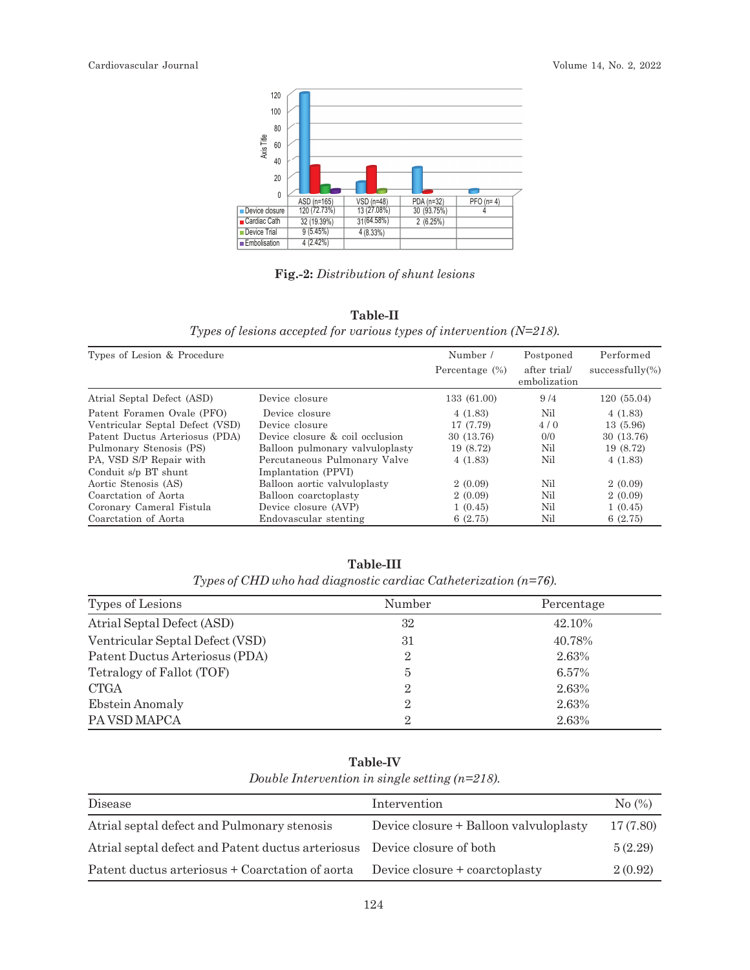

**Fig.-2:** *Distribution of shunt lesions*

|                                                                         | Table-II |  |  |
|-------------------------------------------------------------------------|----------|--|--|
| Types of lesions accepted for various types of intervention $(N=218)$ . |          |  |  |

| Types of Lesion & Procedure                             |                                 | Number /          | Postponed                    | Performed          |  |
|---------------------------------------------------------|---------------------------------|-------------------|------------------------------|--------------------|--|
|                                                         |                                 | Percentage $(\%)$ | after trial/<br>embolization | $successfully(\%)$ |  |
| Atrial Septal Defect (ASD)<br>Device closure            |                                 | 133 (61.00)       | 9/4                          | 120 (55.04)        |  |
| Patent Foramen Ovale (PFO)                              | Device closure                  | 4(1.83)           | Nil                          | 4(1.83)            |  |
| Ventricular Septal Defect (VSD)                         | Device closure                  | 17 (7.79)         | 4/0                          | 13 (5.96)          |  |
| Patent Ductus Arteriosus (PDA)                          | Device closure & coil occlusion | 30 (13.76)        | 0/0                          | 30 (13.76)         |  |
| Pulmonary Stenosis (PS)                                 | Balloon pulmonary valvuloplasty | 19 (8.72)         | Nil                          | 19 (8.72)          |  |
| PA, VSD S/P Repair with<br>Percutaneous Pulmonary Valve |                                 | 4(1.83)           | Nil                          | 4(1.83)            |  |
| Conduit s/p BT shunt                                    | Implantation (PPVI)             |                   |                              |                    |  |
| Aortic Stenosis (AS)                                    | Balloon aortic valvuloplasty    | 2(0.09)           | Nil                          | 2(0.09)            |  |
| Coarctation of Aorta                                    | Balloon coarctoplasty           | 2(0.09)           | Nil                          | 2(0.09)            |  |
| Coronary Cameral Fistula                                | Device closure (AVP)            | 1(0.45)           | Nil                          | 1(0.45)            |  |
| Coarctation of Aorta<br>Endovascular stenting           |                                 | 6(2.75)           | Nil                          | 6(2.75)            |  |

**Table-III** *Types of CHD who had diagnostic cardiac Catheterization (n=76).*

| Types of Lesions                | Number         | Percentage |
|---------------------------------|----------------|------------|
| Atrial Septal Defect (ASD)      | 32             | 42.10%     |
| Ventricular Septal Defect (VSD) | 31             | 40.78%     |
| Patent Ductus Arteriosus (PDA)  | $\overline{2}$ | 2.63%      |
| Tetralogy of Fallot (TOF)       | 5              | 6.57%      |
| <b>CTGA</b>                     | $\overline{2}$ | 2.63%      |
| Ebstein Anomaly                 | $\overline{2}$ | 2.63%      |
| PA VSD MAPCA                    | $\overline{2}$ | 2.63%      |

**Table-IV**

| Double Intervention in single setting $(n=218)$ . |  |  |
|---------------------------------------------------|--|--|
|---------------------------------------------------|--|--|

| Disease                                                                  | Intervention                           | No (%)   |
|--------------------------------------------------------------------------|----------------------------------------|----------|
| Atrial septal defect and Pulmonary stenosis                              | Device closure + Balloon valvuloplasty | 17(7.80) |
| Atrial septal defect and Patent ductus arteriosus Device closure of both |                                        | 5(2.29)  |
| Patent ductus arteriosus + Coarctation of aorta                          | Device closure + coarctoplasty         | 2(0.92)  |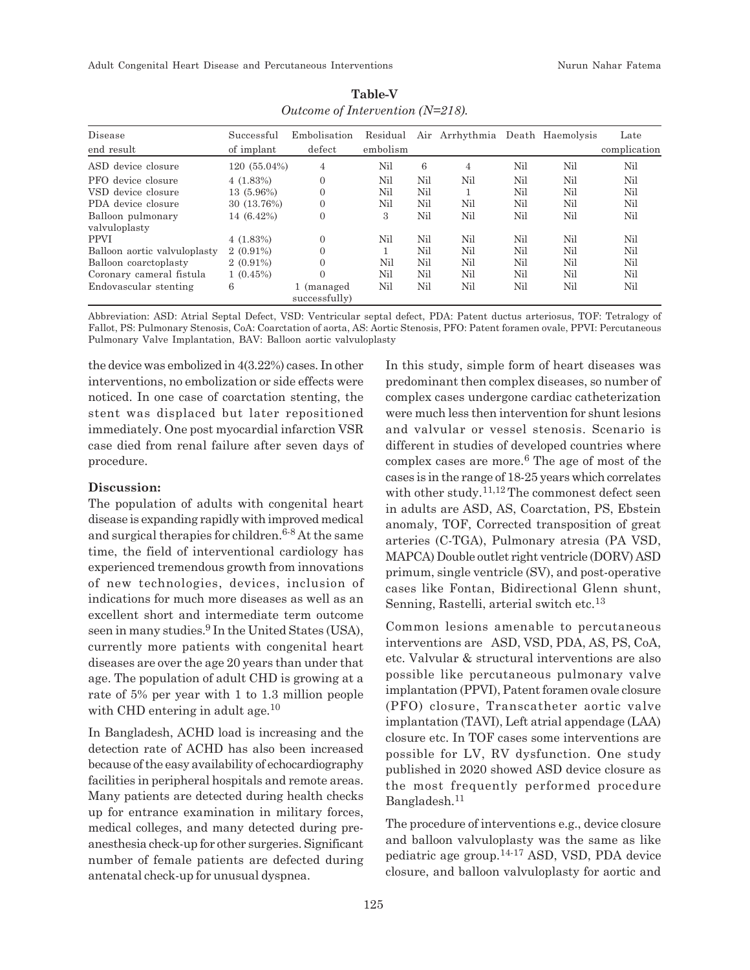Adult Congenital Heart Disease and Percutaneous Interventions Nurun Nahar Fatema

| Disease<br>end result        | Successful<br>of implant | Embolisation<br>defect      | Residual<br>embolism |     | Air Arrhythmia Death Haemolysis |     |     | Late<br>complication |
|------------------------------|--------------------------|-----------------------------|----------------------|-----|---------------------------------|-----|-----|----------------------|
|                              |                          |                             |                      |     |                                 |     |     |                      |
| ASD device closure           | 120 (55.04%)             | 4                           | Nil                  | 6   | 4                               | Nil | Nil | Nil                  |
| PFO device closure           | $4(1.83\%)$              | $\Omega$                    | Nil                  | Nil | Nil                             | Nil | Nil | Nil                  |
| VSD device closure           | 13 (5.96%)               | $\overline{0}$              | Nil                  | Nil |                                 | Nil | Nil | Nil                  |
| PDA device closure           | 30 (13.76%)              | $\overline{0}$              | Nil                  | Nil | Nil                             | Nil | Nil | Nil                  |
| Balloon pulmonary            | 14 (6.42%)               | $\overline{0}$              | 3                    | Nil | Nil                             | Nil | Nil | Nil                  |
| valvuloplasty                |                          |                             |                      |     |                                 |     |     |                      |
| <b>PPVI</b>                  | $4(1.83\%)$              | $\Omega$                    | Nil                  | Nil | Nil                             | Nil | Nil | Nil                  |
| Balloon aortic valvuloplasty | $2(0.91\%)$              | $\Omega$                    |                      | Nil | Nil                             | Nil | Nil | Nil                  |
| Balloon coarctoplasty        | $2(0.91\%)$              | $\Omega$                    | Nil                  | Nil | Nil                             | Nil | Nil | Nil                  |
| Coronary cameral fistula     | $1(0.45\%)$              | $\theta$                    | Nil                  | Nil | Nil                             | Nil | Nil | Nil                  |
| Endovascular stenting        | 6                        | 1 (managed<br>successfully) | Nil                  | Nil | Nil                             | Nil | Nil | Nil                  |

| <b>Table-V</b>                       |
|--------------------------------------|
| Outcome of Intervention ( $N=218$ ). |

Abbreviation: ASD: Atrial Septal Defect, VSD: Ventricular septal defect, PDA: Patent ductus arteriosus, TOF: Tetralogy of Fallot, PS: Pulmonary Stenosis, CoA: Coarctation of aorta, AS: Aortic Stenosis, PFO: Patent foramen ovale, PPVI: Percutaneous Pulmonary Valve Implantation, BAV: Balloon aortic valvuloplasty

the device was embolized in 4(3.22%) cases. In other interventions, no embolization or side effects were noticed. In one case of coarctation stenting, the stent was displaced but later repositioned immediately. One post myocardial infarction VSR case died from renal failure after seven days of procedure.

#### **Discussion:**

The population of adults with congenital heart disease is expanding rapidly with improved medical and surgical therapies for children.<sup>6-8</sup> At the same time, the field of interventional cardiology has experienced tremendous growth from innovations of new technologies, devices, inclusion of indications for much more diseases as well as an excellent short and intermediate term outcome seen in many studies.<sup>9</sup> In the United States (USA), currently more patients with congenital heart diseases are over the age 20 years than under that age. The population of adult CHD is growing at a rate of 5% per year with 1 to 1.3 million people with CHD entering in adult age.<sup>10</sup>

In Bangladesh, ACHD load is increasing and the detection rate of ACHD has also been increased because of the easy availability of echocardiography facilities in peripheral hospitals and remote areas. Many patients are detected during health checks up for entrance examination in military forces, medical colleges, and many detected during preanesthesia check-up for other surgeries. Significant number of female patients are defected during antenatal check-up for unusual dyspnea.

In this study, simple form of heart diseases was predominant then complex diseases, so number of complex cases undergone cardiac catheterization were much less then intervention for shunt lesions and valvular or vessel stenosis. Scenario is different in studies of developed countries where complex cases are more.<sup>6</sup> The age of most of the cases is in the range of 18-25 years which correlates with other study.<sup>11,12</sup> The commonest defect seen in adults are ASD, AS, Coarctation, PS, Ebstein anomaly, TOF, Corrected transposition of great arteries (C-TGA), Pulmonary atresia (PA VSD, MAPCA) Double outlet right ventricle (DORV) ASD primum, single ventricle (SV), and post-operative cases like Fontan, Bidirectional Glenn shunt, Senning, Rastelli, arterial switch etc.<sup>13</sup>

Common lesions amenable to percutaneous interventions are ASD, VSD, PDA, AS, PS, CoA, etc. Valvular & structural interventions are also possible like percutaneous pulmonary valve implantation (PPVI), Patent foramen ovale closure (PFO) closure, Transcatheter aortic valve implantation (TAVI), Left atrial appendage (LAA) closure etc. In TOF cases some interventions are possible for LV, RV dysfunction. One study published in 2020 showed ASD device closure as the most frequently performed procedure Bangladesh.<sup>11</sup>

The procedure of interventions e.g., device closure and balloon valvuloplasty was the same as like pediatric age group.14-17 ASD, VSD, PDA device closure, and balloon valvuloplasty for aortic and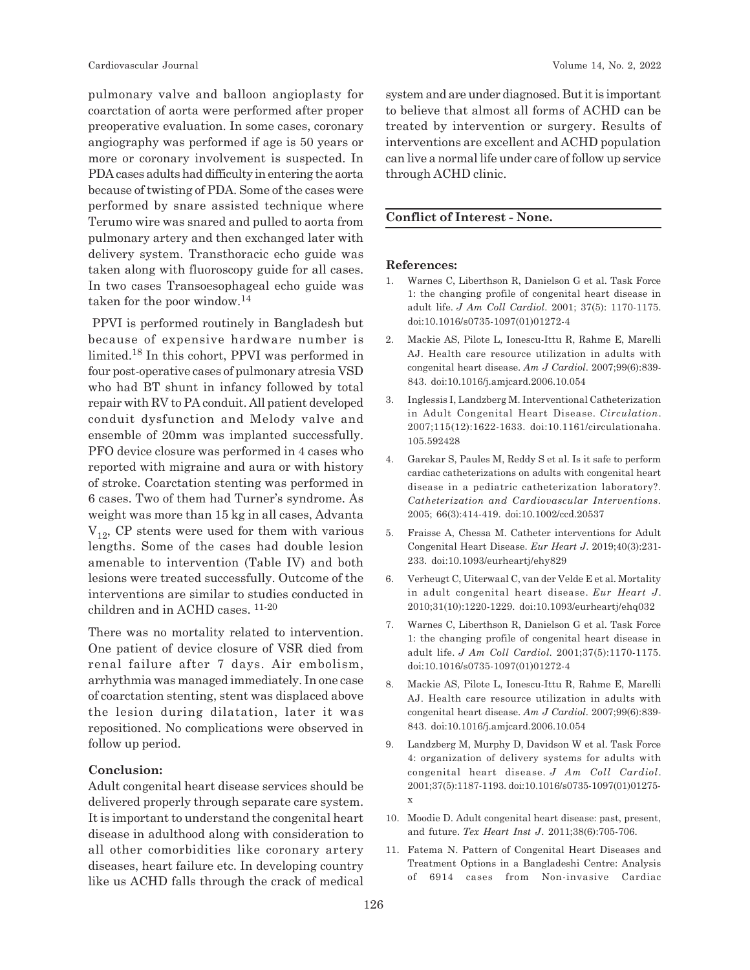pulmonary valve and balloon angioplasty for coarctation of aorta were performed after proper preoperative evaluation. In some cases, coronary angiography was performed if age is 50 years or more or coronary involvement is suspected. In PDA cases adults had difficulty in entering the aorta because of twisting of PDA. Some of the cases were performed by snare assisted technique where Terumo wire was snared and pulled to aorta from pulmonary artery and then exchanged later with delivery system. Transthoracic echo guide was taken along with fluoroscopy guide for all cases. In two cases Transoesophageal echo guide was taken for the poor window.<sup>14</sup>

 PPVI is performed routinely in Bangladesh but because of expensive hardware number is limited.18 In this cohort, PPVI was performed in four post-operative cases of pulmonary atresia VSD who had BT shunt in infancy followed by total repair with RV to PA conduit. All patient developed conduit dysfunction and Melody valve and ensemble of 20mm was implanted successfully. PFO device closure was performed in 4 cases who reported with migraine and aura or with history of stroke. Coarctation stenting was performed in 6 cases. Two of them had Turner's syndrome. As weight was more than 15 kg in all cases, Advanta  $V_{12}$ , CP stents were used for them with various lengths. Some of the cases had double lesion amenable to intervention (Table IV) and both lesions were treated successfully. Outcome of the interventions are similar to studies conducted in children and in ACHD cases. 11-20

There was no mortality related to intervention. One patient of device closure of VSR died from renal failure after 7 days. Air embolism, arrhythmia was managed immediately. In one case of coarctation stenting, stent was displaced above the lesion during dilatation, later it was repositioned. No complications were observed in follow up period.

#### **Conclusion:**

Adult congenital heart disease services should be delivered properly through separate care system. It is important to understand the congenital heart disease in adulthood along with consideration to all other comorbidities like coronary artery diseases, heart failure etc. In developing country like us ACHD falls through the crack of medical system and are under diagnosed. But it is important to believe that almost all forms of ACHD can be treated by intervention or surgery. Results of interventions are excellent and ACHD population can live a normal life under care of follow up service through ACHD clinic.

# **Conflict of Interest - None.**

#### **References:**

- 1. Warnes C, Liberthson R, Danielson G et al. Task Force 1: the changing profile of congenital heart disease in adult life. *J Am Coll Cardiol*. 2001; 37(5): 1170-1175. doi:10.1016/s0735-1097(01)01272-4
- 2. Mackie AS, Pilote L, Ionescu-Ittu R, Rahme E, Marelli AJ. Health care resource utilization in adults with congenital heart disease. *Am J Cardiol*. 2007;99(6):839- 843. doi:10.1016/j.amjcard.2006.10.054
- 3. Inglessis I, Landzberg M. Interventional Catheterization in Adult Congenital Heart Disease. *Circulation*. 2007;115(12):1622-1633. doi:10.1161/circulationaha. 105.592428
- 4. Garekar S, Paules M, Reddy S et al. Is it safe to perform cardiac catheterizations on adults with congenital heart disease in a pediatric catheterization laboratory?. *Catheterization and Cardiovascular Interventions.* 2005; 66(3):414-419. doi:10.1002/ccd.20537
- 5. Fraisse A, Chessa M. Catheter interventions for Adult Congenital Heart Disease. *Eur Heart J*. 2019;40(3):231- 233. doi:10.1093/eurheartj/ehy829
- 6. Verheugt C, Uiterwaal C, van der Velde E et al. Mortality in adult congenital heart disease. *Eur Heart J*. 2010;31(10):1220-1229. doi:10.1093/eurheartj/ehq032
- 7. Warnes C, Liberthson R, Danielson G et al. Task Force 1: the changing profile of congenital heart disease in adult life. *J Am Coll Cardiol*. 2001;37(5):1170-1175. doi:10.1016/s0735-1097(01)01272-4
- 8. Mackie AS, Pilote L, Ionescu-Ittu R, Rahme E, Marelli AJ. Health care resource utilization in adults with congenital heart disease. *Am J Cardiol*. 2007;99(6):839- 843. doi:10.1016/j.amjcard.2006.10.054
- 9. Landzberg M, Murphy D, Davidson W et al. Task Force 4: organization of delivery systems for adults with congenital heart disease. *J Am Coll Cardiol*. 2001;37(5):1187-1193. doi:10.1016/s0735-1097(01)01275 x
- 10. Moodie D. Adult congenital heart disease: past, present, and future. *Tex Heart Inst J*. 2011;38(6):705-706.
- 11. Fatema N. Pattern of Congenital Heart Diseases and Treatment Options in a Bangladeshi Centre: Analysis of 6914 cases from Non-invasive Cardiac